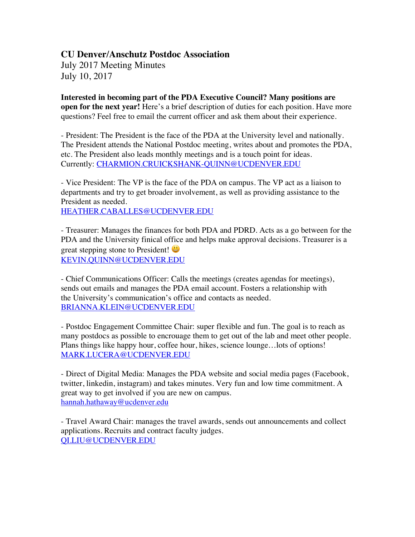# **CU Denver/Anschutz Postdoc Association**

July 2017 Meeting Minutes July 10, 2017

**Interested in becoming part of the PDA Executive Council? Many positions are open for the next year!** Here's a brief description of duties for each position. Have more questions? Feel free to email the current officer and ask them about their experience.

- President: The President is the face of the PDA at the University level and nationally. The President attends the National Postdoc meeting, writes about and promotes the PDA, etc. The President also leads monthly meetings and is a touch point for ideas. Currently: CHARMION.CRUICKSHANK-QUINN@UCDENVER.EDU

- Vice President: The VP is the face of the PDA on campus. The VP act as a liaison to departments and try to get broader involvement, as well as providing assistance to the President as needed.

HEATHER.CABALLES@UCDENVER.EDU

- Treasurer: Manages the finances for both PDA and PDRD. Acts as a go between for the PDA and the University finical office and helps make approval decisions. Treasurer is a great stepping stone to President! KEVIN.QUINN@UCDENVER.EDU

- Chief Communications Officer: Calls the meetings (creates agendas for meetings), sends out emails and manages the PDA email account. Fosters a relationship with the University's communication's office and contacts as needed. BRIANNA.KLEIN@UCDENVER.EDU

- Postdoc Engagement Committee Chair: super flexible and fun. The goal is to reach as many postdocs as possible to encrouage them to get out of the lab and meet other people. Plans things like happy hour, coffee hour, hikes, science lounge…lots of options! MARK.LUCERA@UCDENVER.EDU

- Direct of Digital Media: Manages the PDA website and social media pages (Facebook, twitter, linkedin, instagram) and takes minutes. Very fun and low time commitment. A great way to get involved if you are new on campus. hannah.hathaway@ucdenver.edu

- Travel Award Chair: manages the travel awards, sends out announcements and collect applications. Recruits and contract faculty judges. QI.LIU@UCDENVER.EDU